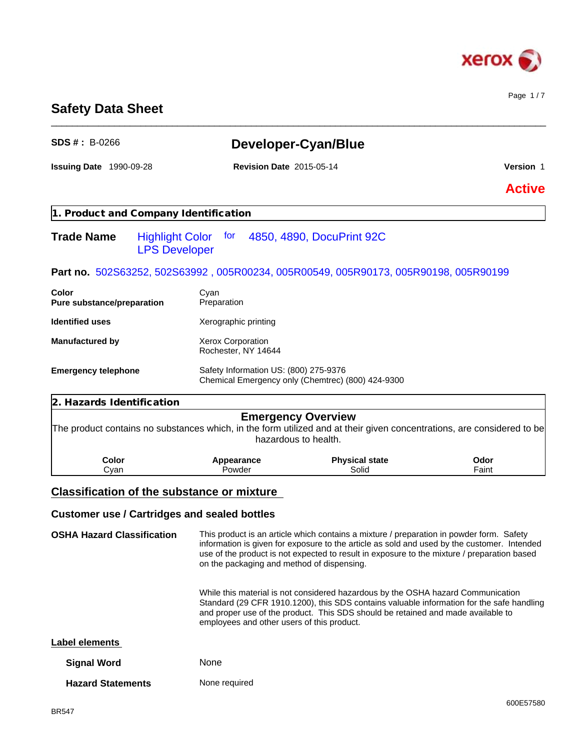

Page 1 / 7

# **Safety Data Sheet**

| <b>SDS #: B-0266</b>                                |                                                                       | Developer-Cyan/Blue                                                                                                                                                                                                                                                                    |                  |
|-----------------------------------------------------|-----------------------------------------------------------------------|----------------------------------------------------------------------------------------------------------------------------------------------------------------------------------------------------------------------------------------------------------------------------------------|------------------|
| Issuing Date 1990-09-28                             | <b>Revision Date 2015-05-14</b>                                       |                                                                                                                                                                                                                                                                                        | <b>Version 1</b> |
|                                                     |                                                                       |                                                                                                                                                                                                                                                                                        | <b>Active</b>    |
| 1. Product and Company Identification               |                                                                       |                                                                                                                                                                                                                                                                                        |                  |
| <b>Trade Name</b>                                   | Highlight Color for 4850, 4890, DocuPrint 92C<br><b>LPS Developer</b> |                                                                                                                                                                                                                                                                                        |                  |
|                                                     |                                                                       | Part no. 502S63252, 502S63992, 005R00234, 005R00549, 005R90173, 005R90198, 005R90199                                                                                                                                                                                                   |                  |
| Color<br>Pure substance/preparation                 | Cyan<br>Preparation                                                   |                                                                                                                                                                                                                                                                                        |                  |
| <b>Identified uses</b>                              | Xerographic printing                                                  |                                                                                                                                                                                                                                                                                        |                  |
| <b>Manufactured by</b>                              | Xerox Corporation<br>Rochester, NY 14644                              |                                                                                                                                                                                                                                                                                        |                  |
| <b>Emergency telephone</b>                          | Safety Information US: (800) 275-9376                                 | Chemical Emergency only (Chemtrec) (800) 424-9300                                                                                                                                                                                                                                      |                  |
| 2. Hazards Identification                           |                                                                       |                                                                                                                                                                                                                                                                                        |                  |
|                                                     |                                                                       | <b>Emergency Overview</b><br>The product contains no substances which, in the form utilized and at their given concentrations, are considered to be<br>hazardous to health.                                                                                                            |                  |
| Color<br>Cyan                                       | Appearance<br>Powder                                                  | <b>Physical state</b><br>Solid                                                                                                                                                                                                                                                         | Odor<br>Faint    |
| <b>Classification of the substance or mixture</b>   |                                                                       |                                                                                                                                                                                                                                                                                        |                  |
| <b>Customer use / Cartridges and sealed bottles</b> |                                                                       |                                                                                                                                                                                                                                                                                        |                  |
| <b>OSHA Hazard Classification</b>                   | on the packaging and method of dispensing.                            | This product is an article which contains a mixture / preparation in powder form. Safety<br>information is given for exposure to the article as sold and used by the customer. Intended<br>use of the product is not expected to result in exposure to the mixture / preparation based |                  |
|                                                     | employees and other users of this product.                            | While this material is not considered hazardous by the OSHA hazard Communication<br>Standard (29 CFR 1910.1200), this SDS contains valuable information for the safe handling<br>and proper use of the product. This SDS should be retained and made available to                      |                  |
| <b>Label elements</b>                               |                                                                       |                                                                                                                                                                                                                                                                                        |                  |
| <b>Signal Word</b>                                  | None                                                                  |                                                                                                                                                                                                                                                                                        |                  |
| <b>Hazard Statements</b>                            | None required                                                         |                                                                                                                                                                                                                                                                                        |                  |

\_\_\_\_\_\_\_\_\_\_\_\_\_\_\_\_\_\_\_\_\_\_\_\_\_\_\_\_\_\_\_\_\_\_\_\_\_\_\_\_\_\_\_\_\_\_\_\_\_\_\_\_\_\_\_\_\_\_\_\_\_\_\_\_\_\_\_\_\_\_\_\_\_\_\_\_\_\_\_\_\_\_\_\_\_\_\_\_\_\_\_\_\_\_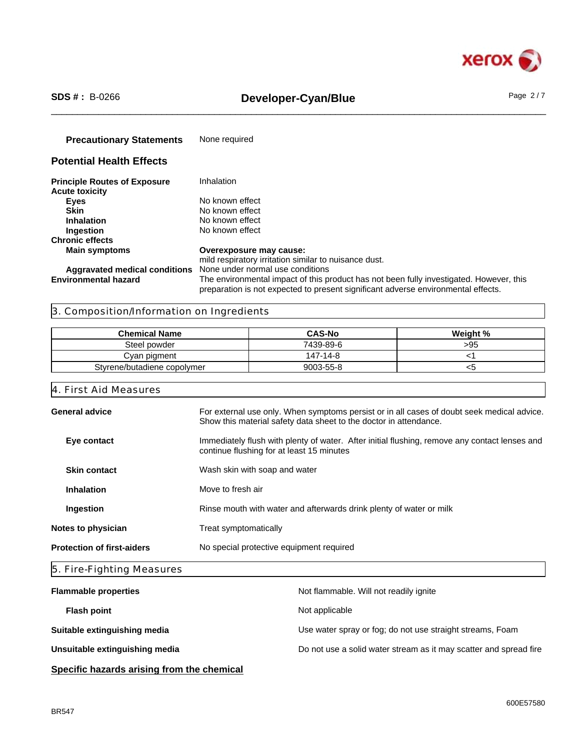

# \_\_\_\_\_\_\_\_\_\_\_\_\_\_\_\_\_\_\_\_\_\_\_\_\_\_\_\_\_\_\_\_\_\_\_\_\_\_\_\_\_\_\_\_\_\_\_\_\_\_\_\_\_\_\_\_\_\_\_\_\_\_\_\_\_\_\_\_\_\_\_\_\_\_\_\_\_\_\_\_\_\_\_\_\_\_\_\_\_\_\_\_\_\_ **SDS # :** B-0266 **Developer-Cyan/Blue** Page 2 / 7

**Precautionary Statements** None required **Potential Health Effects Principle Routes of Exposure** Inhalation **Acute toxicity Eyes** No known effect<br> **Skin** No known effect **Skin**<br> **Inhalation**<br>
No known effect<br>
No known effect **Inhalation** No known effect<br> **Ingestion** No known effect **No known effect Chronic effects**

**Aggravated medical conditions** None under normal use conditions

**Main symptoms Overexposure may cause:** mild respiratory irritation similar to nuisance dust. **Environmental hazard** The environmental impact of this product has not been fully investigated. However, this preparation is not expected to present significant adverse environmental effects.

# 3. Composition/Information on Ingredients

| <b>Chemical Name</b>        | <b>CAS-No</b> | Weight % |
|-----------------------------|---------------|----------|
| Steel powder                | 7439-89-6     | >95      |
| Cvan pigment                | 147-14-8      |          |
| Styrene/butadiene copolymer | 9003-55-8     | ∾        |

# 4. First Aid Measures

| <b>General advice</b>             | For external use only. When symptoms persist or in all cases of doubt seek medical advice.<br>Show this material safety data sheet to the doctor in attendance. |
|-----------------------------------|-----------------------------------------------------------------------------------------------------------------------------------------------------------------|
| Eye contact                       | Immediately flush with plenty of water. After initial flushing, remove any contact lenses and<br>continue flushing for at least 15 minutes                      |
| <b>Skin contact</b>               | Wash skin with soap and water                                                                                                                                   |
| <b>Inhalation</b>                 | Move to fresh air                                                                                                                                               |
| Ingestion                         | Rinse mouth with water and afterwards drink plenty of water or milk                                                                                             |
| Notes to physician                | Treat symptomatically                                                                                                                                           |
| <b>Protection of first-aiders</b> | No special protective equipment required                                                                                                                        |
|                                   |                                                                                                                                                                 |

# 5. Fire-Fighting Measures

| <b>Flammable properties</b>    | Not flammable. Will not readily ignite                            |
|--------------------------------|-------------------------------------------------------------------|
| <b>Flash point</b>             | Not applicable                                                    |
| Suitable extinguishing media   | Use water spray or fog; do not use straight streams, Foam         |
| Unsuitable extinguishing media | Do not use a solid water stream as it may scatter and spread fire |
|                                |                                                                   |

# **Specific hazards arising from the chemical**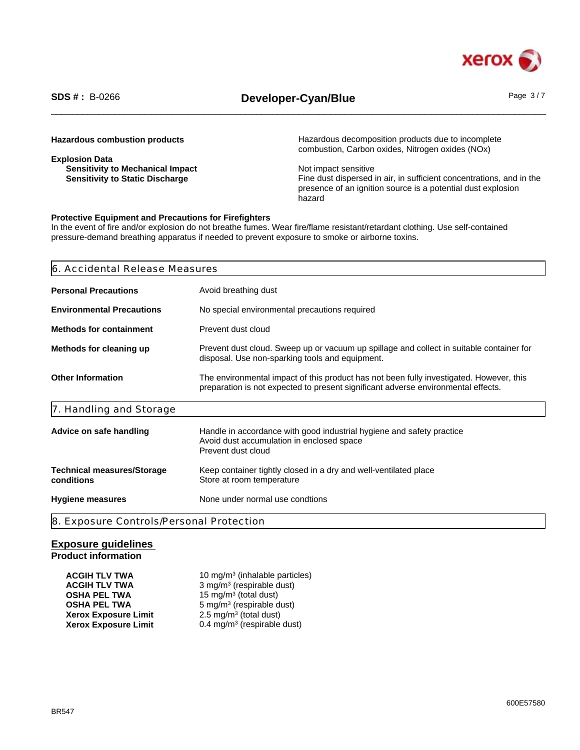

# \_\_\_\_\_\_\_\_\_\_\_\_\_\_\_\_\_\_\_\_\_\_\_\_\_\_\_\_\_\_\_\_\_\_\_\_\_\_\_\_\_\_\_\_\_\_\_\_\_\_\_\_\_\_\_\_\_\_\_\_\_\_\_\_\_\_\_\_\_\_\_\_\_\_\_\_\_\_\_\_\_\_\_\_\_\_\_\_\_\_\_\_\_\_ **SDS # :** B-0266 **Developer-Cyan/Blue** Page 3 / 7

| <b>Hazardous combustion products</b> |  |
|--------------------------------------|--|
|--------------------------------------|--|

**Explosion Data Sensitivity to Mechanical Impact Sensitive Sensitive Sensitive Sensitive Sensitive Sensitive Sensitive Sensitive Sensitive Sensitive Sensitive Sensitive Sensitive Sensitive Sensitive Sensitive Sensitive Sensitive Sensitiv** 

Hazardous decomposition products due to incomplete combustion, Carbon oxides, Nitrogen oxides (NOx)

Fine dust dispersed in air, in sufficient concentrations, and in the presence of an ignition source is a potential dust explosion hazard

# **Protective Equipment and Precautions for Firefighters**

In the event of fire and/or explosion do not breathe fumes. Wear fire/flame resistant/retardant clothing. Use self-contained pressure-demand breathing apparatus if needed to prevent exposure to smoke or airborne toxins.

| 6. Accidental Release Measures                  |                                                                                                                                                                              |
|-------------------------------------------------|------------------------------------------------------------------------------------------------------------------------------------------------------------------------------|
| <b>Personal Precautions</b>                     | Avoid breathing dust                                                                                                                                                         |
| <b>Environmental Precautions</b>                | No special environmental precautions required                                                                                                                                |
| <b>Methods for containment</b>                  | Prevent dust cloud                                                                                                                                                           |
| Methods for cleaning up                         | Prevent dust cloud. Sweep up or vacuum up spillage and collect in suitable container for<br>disposal. Use non-sparking tools and equipment.                                  |
| <b>Other Information</b>                        | The environmental impact of this product has not been fully investigated. However, this<br>preparation is not expected to present significant adverse environmental effects. |
| 7. Handling and Storage                         |                                                                                                                                                                              |
| Advice on safe handling                         | Handle in accordance with good industrial hygiene and safety practice<br>Avoid dust accumulation in enclosed space<br>Prevent dust cloud                                     |
| <b>Technical measures/Storage</b><br>conditions | Keep container tightly closed in a dry and well-ventilated place<br>Store at room temperature                                                                                |
| <b>Hygiene measures</b>                         | None under normal use condtions                                                                                                                                              |
| 8. Exposure Controls/Personal Protection        |                                                                                                                                                                              |

# **Exposure guidelines Product information**

| <b>ACGIH TLV TWA</b>        | 10 mg/m <sup>3</sup> (inhalable particles) |
|-----------------------------|--------------------------------------------|
| <b>ACGIH TLV TWA</b>        | 3 mg/m <sup>3</sup> (respirable dust)      |
| <b>OSHA PEL TWA</b>         | 15 mg/m <sup>3</sup> (total dust)          |
| <b>OSHA PEL TWA</b>         | 5 mg/m <sup>3</sup> (respirable dust)      |
| <b>Xerox Exposure Limit</b> | $2.5 \text{ mg/m}^3$ (total dust)          |
| <b>Xerox Exposure Limit</b> | 0.4 mg/m <sup>3</sup> (respirable dust)    |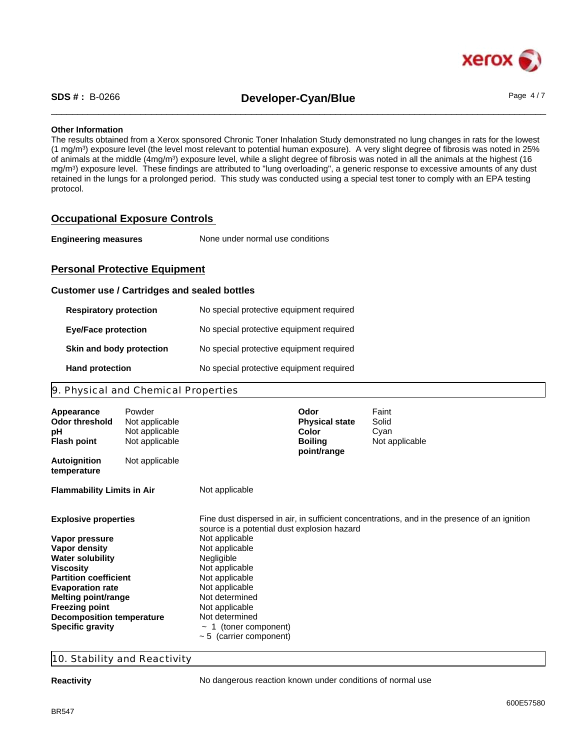

\_\_\_\_\_\_\_\_\_\_\_\_\_\_\_\_\_\_\_\_\_\_\_\_\_\_\_\_\_\_\_\_\_\_\_\_\_\_\_\_\_\_\_\_\_\_\_\_\_\_\_\_\_\_\_\_\_\_\_\_\_\_\_\_\_\_\_\_\_\_\_\_\_\_\_\_\_\_\_\_\_\_\_\_\_\_\_\_\_\_\_\_\_\_ **SDS # :** B-0266 **Developer-Cyan/Blue** Page 4 / 7

# **Other Information**

The results obtained from a Xerox sponsored Chronic Toner Inhalation Study demonstrated no lung changes in rats for the lowest (1 mg/m<sup>3</sup> ) exposure level (the level most relevant to potential human exposure). A very slight degree of fibrosis was noted in 25% of animals at the middle (4mg/m<sup>3</sup>) exposure level, while a slight degree of fibrosis was noted in all the animals at the highest (16 mg/m<sup>3</sup> ) exposure level. These findings are attributed to "lung overloading", a generic response to excessive amounts of any dust retained in the lungs for a prolonged period. This study was conducted using a special test toner to comply with an EPA testing protocol.

# **Occupational Exposure Controls**

| <b>Engineering measures</b> | None under normal use conditions |  |
|-----------------------------|----------------------------------|--|
|-----------------------------|----------------------------------|--|

# **Personal Protective Equipment**

# **Customer use / Cartridges and sealed bottles**

| <b>Respiratory protection</b> | No special protective equipment required |
|-------------------------------|------------------------------------------|
| <b>Eye/Face protection</b>    | No special protective equipment required |
| Skin and body protection      | No special protective equipment required |
| <b>Hand protection</b>        | No special protective equipment required |

# 9. Physical and Chemical Properties

| Appearance<br>Odor threshold<br>рH<br><b>Flash point</b> | Powder<br>Not applicable<br>Not applicable<br>Not applicable |                                             | <b>Odor</b><br><b>Physical state</b><br>Color<br><b>Boiling</b><br>point/range | Faint<br>Solid<br>Cyan<br>Not applicable                                                     |
|----------------------------------------------------------|--------------------------------------------------------------|---------------------------------------------|--------------------------------------------------------------------------------|----------------------------------------------------------------------------------------------|
| <b>Autoignition</b><br>temperature                       | Not applicable                                               |                                             |                                                                                |                                                                                              |
| <b>Flammability Limits in Air</b>                        |                                                              | Not applicable                              |                                                                                |                                                                                              |
| <b>Explosive properties</b>                              |                                                              | source is a potential dust explosion hazard |                                                                                | Fine dust dispersed in air, in sufficient concentrations, and in the presence of an ignition |
| Vapor pressure                                           |                                                              | Not applicable                              |                                                                                |                                                                                              |
| Vapor density                                            |                                                              | Not applicable                              |                                                                                |                                                                                              |
| <b>Water solubility</b>                                  |                                                              | Negligible                                  |                                                                                |                                                                                              |
| Viscosity                                                |                                                              | Not applicable                              |                                                                                |                                                                                              |
| <b>Partition coefficient</b>                             |                                                              | Not applicable                              |                                                                                |                                                                                              |
| <b>Evaporation rate</b>                                  |                                                              | Not applicable                              |                                                                                |                                                                                              |
| <b>Melting point/range</b>                               |                                                              | Not determined                              |                                                                                |                                                                                              |
| <b>Freezing point</b>                                    |                                                              | Not applicable                              |                                                                                |                                                                                              |
| <b>Decomposition temperature</b>                         |                                                              | Not determined                              |                                                                                |                                                                                              |
| <b>Specific gravity</b>                                  |                                                              | 1 (toner component)<br>$\sim$               |                                                                                |                                                                                              |
|                                                          |                                                              | $\sim$ 5 (carrier component)                |                                                                                |                                                                                              |

# 10. Stability and Reactivity

**Reactivity Reactivity No dangerous reaction known under conditions of normal use**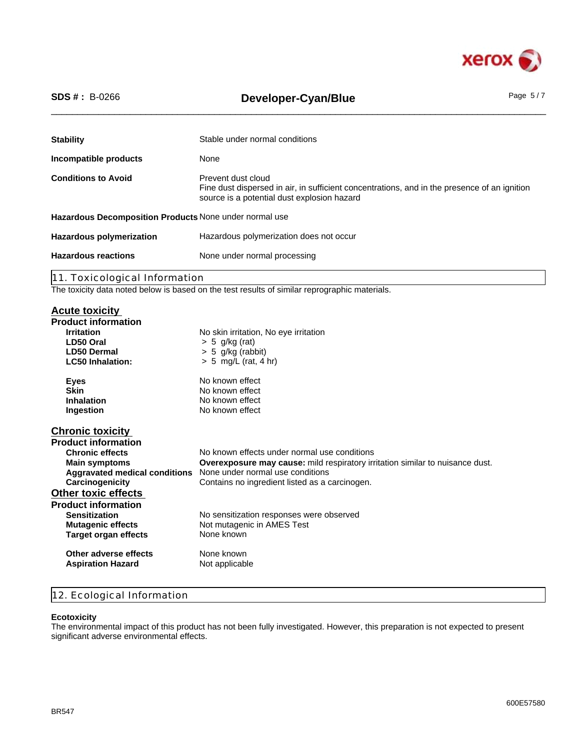

# \_\_\_\_\_\_\_\_\_\_\_\_\_\_\_\_\_\_\_\_\_\_\_\_\_\_\_\_\_\_\_\_\_\_\_\_\_\_\_\_\_\_\_\_\_\_\_\_\_\_\_\_\_\_\_\_\_\_\_\_\_\_\_\_\_\_\_\_\_\_\_\_\_\_\_\_\_\_\_\_\_\_\_\_\_\_\_\_\_\_\_\_\_\_ **SDS # :** B-0266 **Developer-Cyan/Blue** Page 5 / 7

| <b>Stability</b>                                       | Stable under normal conditions                                                                                                                                    |
|--------------------------------------------------------|-------------------------------------------------------------------------------------------------------------------------------------------------------------------|
| Incompatible products                                  | None                                                                                                                                                              |
| <b>Conditions to Avoid</b>                             | Prevent dust cloud<br>Fine dust dispersed in air, in sufficient concentrations, and in the presence of an ignition<br>source is a potential dust explosion hazard |
| Hazardous Decomposition Products None under normal use |                                                                                                                                                                   |
| <b>Hazardous polymerization</b>                        | Hazardous polymerization does not occur                                                                                                                           |
| <b>Hazardous reactions</b>                             | None under normal processing                                                                                                                                      |
| 11. Toxicological Information                          |                                                                                                                                                                   |
|                                                        | $\sim$ $\sim$<br>.                                                                                                                                                |

The toxicity data noted below is based on the test results of similar reprographic materials.

# **Acute toxicity**

| <b>Irritation</b><br>No skin irritation, No eye irritation<br>LD50 Oral<br>$> 5$ g/kg (rat)                  |  |
|--------------------------------------------------------------------------------------------------------------|--|
|                                                                                                              |  |
|                                                                                                              |  |
| <b>LD50 Dermal</b><br>$> 5$ g/kg (rabbit)                                                                    |  |
| <b>LC50 Inhalation:</b><br>$> 5$ mg/L (rat, 4 hr)                                                            |  |
| No known effect<br>Eyes                                                                                      |  |
| <b>Skin</b><br>No known effect                                                                               |  |
| Inhalation<br>No known effect                                                                                |  |
| No known effect<br>Ingestion                                                                                 |  |
| <b>Chronic toxicity</b>                                                                                      |  |
| <b>Product information</b>                                                                                   |  |
| <b>Chronic effects</b><br>No known effects under normal use conditions                                       |  |
| <b>Overexposure may cause:</b> mild respiratory irritation similar to nuisance dust.<br><b>Main symptoms</b> |  |
| None under normal use conditions<br><b>Aggravated medical conditions</b>                                     |  |
| Carcinogenicity<br>Contains no ingredient listed as a carcinogen.                                            |  |
| <b>Other toxic effects</b>                                                                                   |  |
| <b>Product information</b>                                                                                   |  |
| <b>Sensitization</b><br>No sensitization responses were observed                                             |  |
| <b>Mutagenic effects</b><br>Not mutagenic in AMES Test                                                       |  |
| None known<br>Target organ effects                                                                           |  |
| None known<br>Other adverse effects                                                                          |  |
| Not applicable<br><b>Aspiration Hazard</b>                                                                   |  |

# 12. Ecological Information

### **Ecotoxicity**

The environmental impact of this product has not been fully investigated. However, this preparation is not expected to present significant adverse environmental effects.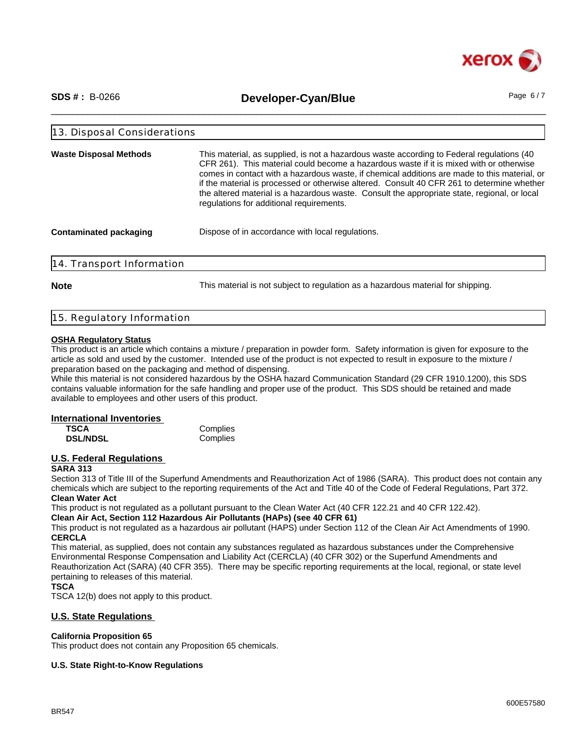

\_\_\_\_\_\_\_\_\_\_\_\_\_\_\_\_\_\_\_\_\_\_\_\_\_\_\_\_\_\_\_\_\_\_\_\_\_\_\_\_\_\_\_\_\_\_\_\_\_\_\_\_\_\_\_\_\_\_\_\_\_\_\_\_\_\_\_\_\_\_\_\_\_\_\_\_\_\_\_\_\_\_\_\_\_\_\_\_\_\_\_\_\_\_ **SDS # :** B-0266 **Developer-Cyan/Blue** Page 6 / 7

| This material, as supplied, is not a hazardous waste according to Federal regulations (40<br><b>Waste Disposal Methods</b><br>CFR 261). This material could become a hazardous waste if it is mixed with or otherwise<br>regulations for additional requirements. | 13. Disposal Considerations |                                                                                                                                                                                                                                                                                            |
|-------------------------------------------------------------------------------------------------------------------------------------------------------------------------------------------------------------------------------------------------------------------|-----------------------------|--------------------------------------------------------------------------------------------------------------------------------------------------------------------------------------------------------------------------------------------------------------------------------------------|
|                                                                                                                                                                                                                                                                   |                             | comes in contact with a hazardous waste, if chemical additions are made to this material, or<br>if the material is processed or otherwise altered. Consult 40 CFR 261 to determine whether<br>the altered material is a hazardous waste. Consult the appropriate state, regional, or local |
|                                                                                                                                                                                                                                                                   | Contaminated packaging      | Dispose of in accordance with local regulations.                                                                                                                                                                                                                                           |

**Note** This material is not subject to regulation as a hazardous material for shipping.

|  | 15. Regulatory Information |  |
|--|----------------------------|--|
|  |                            |  |

# **OSHA Regulatory Status**

This product is an article which contains a mixture / preparation in powder form. Safety information is given for exposure to the article as sold and used by the customer. Intended use of the product is not expected to result in exposure to the mixture / preparation based on the packaging and method of dispensing.

While this material is not considered hazardous by the OSHA hazard Communication Standard (29 CFR 1910.1200), this SDS contains valuable information for the safe handling and proper use of the product. This SDS should be retained and made available to employees and other users of this product.

### **International Inventories**

| TSCA            | Complies |
|-----------------|----------|
| <b>DSL/NDSL</b> | Complies |

# **U.S. Federal Regulations**

# **SARA 313**

Section 313 of Title III of the Superfund Amendments and Reauthorization Act of 1986 (SARA). This product does not contain any chemicals which are subject to the reporting requirements of the Act and Title 40 of the Code of Federal Regulations, Part 372. **Clean Water Act**

This product is not regulated as a pollutant pursuant to the Clean Water Act (40 CFR 122.21 and 40 CFR 122.42).

**Clean Air Act, Section 112 Hazardous Air Pollutants (HAPs) (see 40 CFR 61)**

This product is not regulated as a hazardous air pollutant (HAPS) under Section 112 of the Clean Air Act Amendments of 1990. **CERCLA**

This material, as supplied, does not contain any substances regulated as hazardous substances under the Comprehensive Environmental Response Compensation and Liability Act (CERCLA) (40 CFR 302) or the Superfund Amendments and Reauthorization Act (SARA) (40 CFR 355). There may be specific reporting requirements at the local, regional, or state level pertaining to releases of this material.

### **TSCA**

TSCA 12(b) does not apply to this product.

# **U.S. State Regulations**

### **California Proposition 65**

This product does not contain any Proposition 65 chemicals.

### **U.S. State Right-to-Know Regulations**